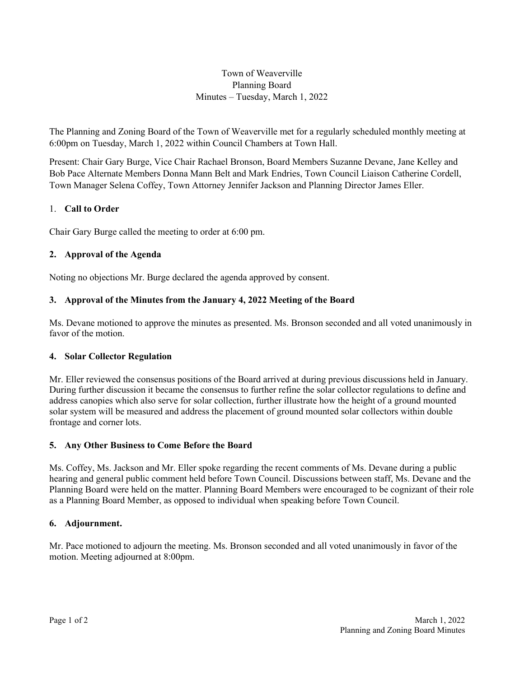# Town of Weaverville Planning Board Minutes – Tuesday, March 1, 2022

The Planning and Zoning Board of the Town of Weaverville met for a regularly scheduled monthly meeting at 6:00pm on Tuesday, March 1, 2022 within Council Chambers at Town Hall.

Present: Chair Gary Burge, Vice Chair Rachael Bronson, Board Members Suzanne Devane, Jane Kelley and Bob Pace Alternate Members Donna Mann Belt and Mark Endries, Town Council Liaison Catherine Cordell, Town Manager Selena Coffey, Town Attorney Jennifer Jackson and Planning Director James Eller.

# 1. **Call to Order**

Chair Gary Burge called the meeting to order at 6:00 pm.

# **2. Approval of the Agenda**

Noting no objections Mr. Burge declared the agenda approved by consent.

# **3. Approval of the Minutes from the January 4, 2022 Meeting of the Board**

Ms. Devane motioned to approve the minutes as presented. Ms. Bronson seconded and all voted unanimously in favor of the motion.

### **4. Solar Collector Regulation**

Mr. Eller reviewed the consensus positions of the Board arrived at during previous discussions held in January. During further discussion it became the consensus to further refine the solar collector regulations to define and address canopies which also serve for solar collection, further illustrate how the height of a ground mounted solar system will be measured and address the placement of ground mounted solar collectors within double frontage and corner lots.

### **5. Any Other Business to Come Before the Board**

Ms. Coffey, Ms. Jackson and Mr. Eller spoke regarding the recent comments of Ms. Devane during a public hearing and general public comment held before Town Council. Discussions between staff, Ms. Devane and the Planning Board were held on the matter. Planning Board Members were encouraged to be cognizant of their role as a Planning Board Member, as opposed to individual when speaking before Town Council.

### **6. Adjournment.**

Mr. Pace motioned to adjourn the meeting. Ms. Bronson seconded and all voted unanimously in favor of the motion. Meeting adjourned at 8:00pm.